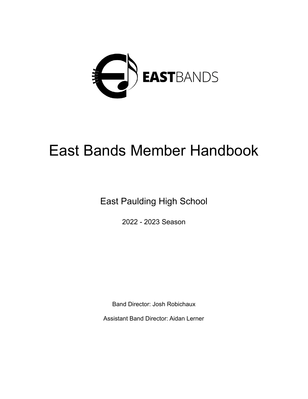

# East Bands Member Handbook

East Paulding High School

2022 - 2023 Season

Band Director: Josh Robichaux

Assistant Band Director: Aidan Lerner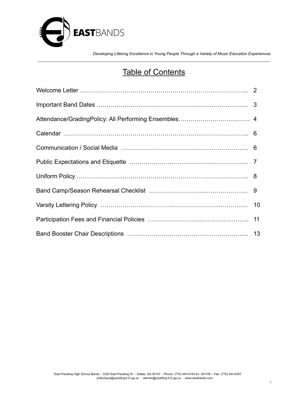

### Table of Contents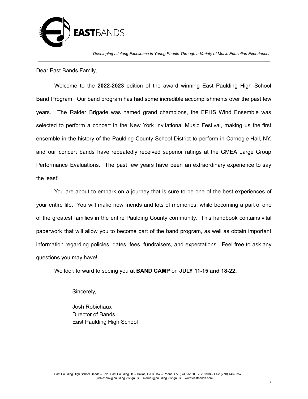

Dear East Bands Family,

Welcome to the **2022-2023** edition of the award winning East Paulding High School Band Program. Our band program has had some incredible accomplishments over the past few years. The Raider Brigade was named grand champions, the EPHS Wind Ensemble was selected to perform a concert in the New York Invitational Music Festival, making us the first ensemble in the history of the Paulding County School District to perform in Carnegie Hall, NY, and our concert bands have repeatedly received superior ratings at the GMEA Large Group Performance Evaluations. The past few years have been an extraordinary experience to say the least!

You are about to embark on a journey that is sure to be one of the best experiences of your entire life. You will make new friends and lots of memories, while becoming a part of one of the greatest families in the entire Paulding County community. This handbook contains vital paperwork that will allow you to become part of the band program, as well as obtain important information regarding policies, dates, fees, fundraisers, and expectations. Feel free to ask any questions you may have!

We look forward to seeing you at **BAND CAMP** on **JULY 11-15 and 18-22.**

Sincerely,

Josh Robichaux Director of Bands East Paulding High School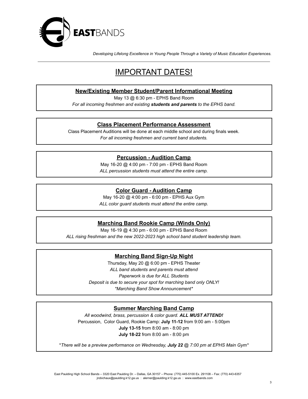

### IMPORTANT DATES!

### **New/Existing Member Student/Parent Informational Meeting**

May 13 @ 6:30 pm - EPHS Band Room

*For all incoming freshmen and existing students and parents to the EPHS band.*

### **Class Placement Performance Assessment**

Class Placement Auditions will be done at each middle school and during finals week. *For all incoming freshmen and current band students.*

### **Percussion - Audition Camp**

May 16-20 @ 4:00 pm - 7:00 pm - EPHS Band Room *ALL percussion students must attend the entire camp.*

### **Color Guard - Audition Camp**

May 16-20 @ 4:00 pm - 6:00 pm - EPHS Aux Gym

*ALL color guard students must attend the entire camp.*

### **Marching Band Rookie Camp (Winds Only)**

May 16-19 @ 4:30 pm - 6:00 pm - EPHS Band Room *ALL rising freshman and the new 2022-2023 high school band student leadership team.*

### **Marching Band Sign-Up Night**

Thursday, May 20 @ 6:00 pm - EPHS Theater *ALL band students and parents must attend Paperwork is due for ALL Students Deposit is due to secure your spot for marching band only ONLY! \*Marching Band Show Announcement\**

### **Summer Marching Band Camp**

*All woodwind, brass, percussion & color guard. ALL MUST ATTEND!* Percussion, Color Guard, Rookie Camp: **July 11-12** from 9:00 am - 5:00pm **July 13-15** from 8:00 am - 8:00 pm **July 18-22** from 8:00 am - 8:00 pm

\**There will be a preview performance on Wednesday, July 22 @ 7:00 pm at EPHS Main Gym\**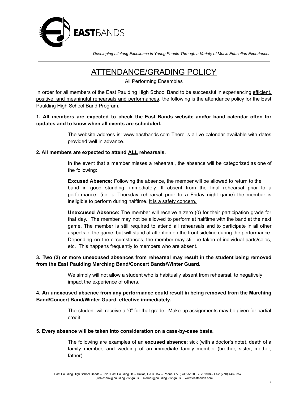

### ATTENDANCE/GRADING POLICY

All Performing Ensembles

In order for all members of the East Paulding High School Band to be successful in experiencing efficient, positive, and meaningful rehearsals and performances, the following is the attendance policy for the East Paulding High School Band Program.

### **1. All members are expected to check the East Bands website and/or band calendar often for updates and to know when all events are scheduled.**

The website address is: www.eastbands.com There is a live calendar available with dates provided well in advance.

### **2. All members are expected to attend ALL rehearsals.**

In the event that a member misses a rehearsal, the absence will be categorized as one of the following:

**Excused Absence:** Following the absence, the member will be allowed to return to the band in good standing, immediately. If absent from the final rehearsal prior to a performance, (i.e. a Thursday rehearsal prior to a Friday night game) the member is ineligible to perform during halftime. It is a safety concern.

**Unexcused Absence:** The member will receive a zero (0) for their participation grade for that day. The member may not be allowed to perform at halftime with the band at the next game. The member is still required to attend all rehearsals and to participate in all other aspects of the game, but will stand at attention on the front sideline during the performance. Depending on the circumstances, the member may still be taken of individual parts/solos, etc. This happens frequently to members who are absent.

### **3. Two (2) or more unexcused absences from rehearsal may result in the student being removed from the East Paulding Marching Band/Concert Bands/Winter Guard.**

We simply will not allow a student who is habitually absent from rehearsal, to negatively impact the experience of others.

### **4. An unexcused absence from any performance could result in being removed from the Marching Band/Concert Band/Winter Guard, effective immediately.**

The student will receive a "0" for that grade. Make-up assignments may be given for partial credit.

#### **5. Every absence will be taken into consideration on a case-by-case basis.**

The following are examples of an **excused absence**: sick (with a doctor's note), death of a family member, and wedding of an immediate family member (brother, sister, mother, father).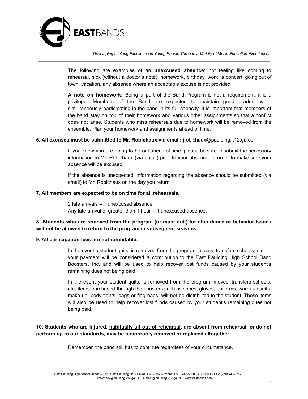

The following are examples of an **unexcused absence**: not feeling like coming to rehearsal, sick (without a doctor's note), homework, birthday, work, a concert, going out of town, vacation, any absence where an acceptable excuse is not provided

**A note on homework:** Being a part of the Band Program is not a requirement, it is a privilege. Members of the Band are expected to maintain good grades, while simultaneously participating in the band in its full capacity. It is important that members of the band stay on top of their homework and various other assignments so that a conflict does not arise. Students who miss rehearsals due to homework will be removed from the ensemble. Plan your homework and assignments ahead of time.

#### **6. All excuses must be submitted to Mr. Robichaux via email:** jrobichaux@paulding.k12.ga.us

If you know you are going to be out ahead of time, please be sure to submit the necessary information to Mr. Robichaux (via email) prior to your absence, in order to make sure your absence will be excused.

If the absence is unexpected, information regarding the absence should be submitted (via email) to Mr. Robichaux on the day you return.

#### **7. All members are expected to be on time for all rehearsals.**

2 late arrivals = 1 unexcused absence. Any late arrival of greater than 1 hour = 1 unexcused absence.

### **8. Students who are removed from the program (or must quit) for attendance or behavior issues will not be allowed to return to the program in subsequent seasons.**

#### **9. All participation fees are not refundable.**

In the event a student quits, is removed from the program, moves, transfers schools, etc, your payment will be considered a contribution to the East Paulding High School Band Boosters, Inc. and will be used to help recover lost funds caused by your student's remaining dues not being paid.

In the event your student quits, is removed from the program, moves, transfers schools, etc, items purchased through the boosters such as shoes, gloves, uniforms, warm-up suits, make-up, body tights, bags or flag bags, will not be distributed to the student. These items will also be used to help recover lost funds caused by your student's remaining dues not being paid.

### **10. Students who are injured, habitually sit out of rehearsal, are absent from rehearsal, or do not perform up to our standards, may be temporarily removed or replaced altogether.**

Remember, the band still has to continue regardless of your circumstance.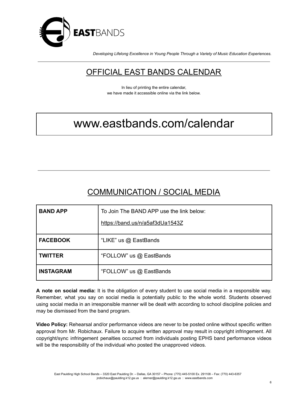

### OFFICIAL EAST BANDS CALENDAR

In lieu of printing the entire calendar, we have made it accessible online via the link below.

## www.eastbands.com/calendar

### COMMUNICATION / SOCIAL MEDIA

| <b>BAND APP</b>  | To Join The BAND APP use the link below: |  |  |
|------------------|------------------------------------------|--|--|
|                  | https://band.us/n/a5af3dUa1543Z          |  |  |
| <b>FACEBOOK</b>  | "LIKE" us @ EastBands                    |  |  |
| <b>TWITTER</b>   | "FOLLOW" us @ EastBands                  |  |  |
| <b>INSTAGRAM</b> | "FOLLOW" us @ EastBands                  |  |  |

**A note on social media:** It is the obligation of every student to use social media in a responsible way. Remember, what you say on social media is potentially public to the whole world. Students observed using social media in an irresponsible manner will be dealt with according to school discipline policies and may be dismissed from the band program.

**Video Policy:** Rehearsal and/or performance videos are never to be posted online without specific written approval from Mr. Robichaux. Failure to acquire written approval may result in copyright infringement. All copyright/sync infringement penalties occurred from individuals posting EPHS band performance videos will be the responsibility of the individual who posted the unapproved videos.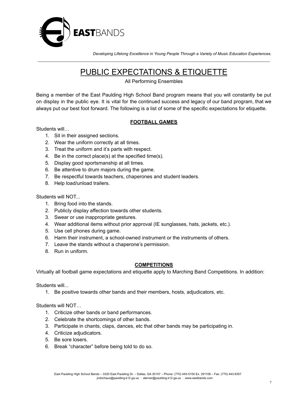

### PUBLIC EXPECTATIONS & ETIQUETTE

#### All Performing Ensembles

Being a member of the East Paulding High School Band program means that you will constantly be put on display in the public eye. It is vital for the continued success and legacy of our band program, that we always put our best foot forward. The following is a list of some of the specific expectations for etiquette.

### **FOOTBALL GAMES**

### Students will…

- 1. Sit in their assigned sections.
- 2. Wear the uniform correctly at all times.
- 3. Treat the uniform and it's parts with respect.
- 4. Be in the correct place(s) at the specified time(s).
- 5. Display good sportsmanship at all times.
- 6. Be attentive to drum majors during the game.
- 7. Be respectful towards teachers, chaperones and student leaders.
- 8. Help load/unload trailers.

#### Students will NOT...

- 1. Bring food into the stands.
- 2. Publicly display affection towards other students.
- 3. Swear or use inappropriate gestures.
- 4. Wear additional items without prior approval (IE sunglasses, hats, jackets, etc.).
- 5. Use cell phones during game.
- 6. Harm their instrument, a school-owned instrument or the instruments of others.
- 7. Leave the stands without a chaperone's permission.
- 8. Run in uniform.

### **COMPETITIONS**

Virtually all football game expectations and etiquette apply to Marching Band Competitions. In addition:

Students will...

1. Be positive towards other bands and their members, hosts, adjudicators, etc.

Students will NOT…

- 1. Criticize other bands or band performances.
- 2. Celebrate the shortcomings of other bands.
- 3. Participate in chants, claps, dances, etc that other bands may be participating in.
- 4. Criticize adjudicators.
- 5. Be sore losers.
- 6. Break "character" before being told to do so.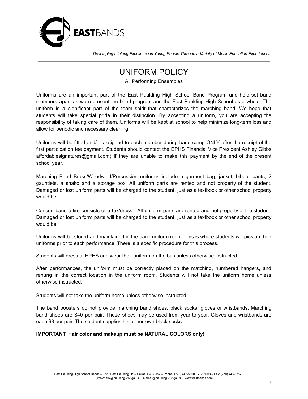

### UNIFORM POLICY

All Performing Ensembles

Uniforms are an important part of the East Paulding High School Band Program and help set band members apart as we represent the band program and the East Paulding High School as a whole. The uniform is a significant part of the team spirit that characterizes the marching band. We hope that students will take special pride in their distinction. By accepting a uniform, you are accepting the responsibility of taking care of them. Uniforms will be kept at school to help minimize long-term loss and allow for periodic and necessary cleaning.

Uniforms will be fitted and/or assigned to each member during band camp ONLY after the receipt of the first participation fee payment. Students should contact the EPHS Financial Vice President Ashley Gibbs affordablesignatures@gmail.com) if they are unable to make this payment by the end of the present school year.

Marching Band Brass/Woodwind/Percussion uniforms include a garment bag, jacket, bibber pants, 2 gauntlets, a shako and a storage box. All uniform parts are rented and not property of the student. Damaged or lost uniform parts will be charged to the student, just as a textbook or other school property would be.

Concert band attire consists of a tux/dress. All uniform parts are rented and not property of the student. Damaged or lost uniform parts will be charged to the student, just as a textbook or other school property would be.

Uniforms will be stored and maintained in the band uniform room. This is where students will pick up their uniforms prior to each performance. There is a specific procedure for this process.

Students will dress at EPHS and wear their uniform on the bus unless otherwise instructed.

After performances, the uniform must be correctly placed on the matching, numbered hangers, and rehung in the correct location in the uniform room. Students will not take the uniform home unless otherwise instructed.

Students will not take the uniform home unless otherwise instructed.

The band boosters do not provide marching band shoes, black socks, gloves or wristbands. Marching band shoes are \$40 per pair. These shoes may be used from year to year. Gloves and wristbands are each \$3 per pair. The student supplies his or her own black socks.

### **IMPORTANT: Hair color and makeup must be NATURAL COLORS only!**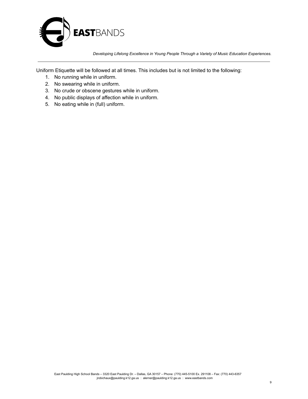

Uniform Etiquette will be followed at all times. This includes but is not limited to the following:

- 1. No running while in uniform.
- 2. No swearing while in uniform.
- 3. No crude or obscene gestures while in uniform.
- 4. No public displays of affection while in uniform.
- 5. No eating while in (full) uniform.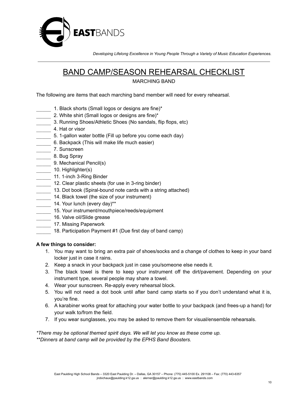

### BAND CAMP/SEASON REHEARSAL CHECKLIST

MARCHING BAND

The following are items that each marching band member will need for every rehearsal.

- 1. Black shorts (Small logos or designs are fine)\*
- 2. White shirt (Small logos or designs are fine)\*
- 3. Running Shoes/Athletic Shoes (No sandals, flip flops, etc)
- \_\_\_\_\_ 4. Hat or visor
- 5. 1-gallon water bottle (Fill up before you come each day)
- 6. Backpack (This will make life much easier)
- \_\_\_\_\_ 7. Sunscreen
- 1. Bug Spray
- \_\_\_\_\_ 9. Mechanical Pencil(s)
- 10. Highlighter(s)
- 11. 1-inch 3-Ring Binder
- 12. Clear plastic sheets (for use in 3-ring binder)
- 13. Dot book (Spiral-bound note cards with a string attached)
- 14. Black towel (the size of your instrument)
- 14. Your lunch (every day)\*\*
- 15. Your instrument/mouthpiece/reeds/equipment
- 16. Valve oil/Slide grease
- 17. Missing Paperwork
	- 18. Participation Payment #1 (Due first day of band camp)

#### **A few things to consider:**

- 1. You may want to bring an extra pair of shoes/socks and a change of clothes to keep in your band locker just in case it rains.
- 2. Keep a snack in your backpack just in case you/someone else needs it.
- 3. The black towel is there to keep your instrument off the dirt/pavement. Depending on your instrument type, several people may share a towel.
- 4. Wear your sunscreen. Re-apply every rehearsal block.
- 5. You will not need a dot book until after band camp starts so if you don't understand what it is, you're fine.
- 6. A karabiner works great for attaching your water bottle to your backpack (and frees-up a hand) for your walk to/from the field.
- 7. If you wear sunglasses, you may be asked to remove them for visual/ensemble rehearsals.

*\*There may be optional themed spirit days. We will let you know as these come up. \*\*Dinners at band camp will be provided by the EPHS Band Boosters.*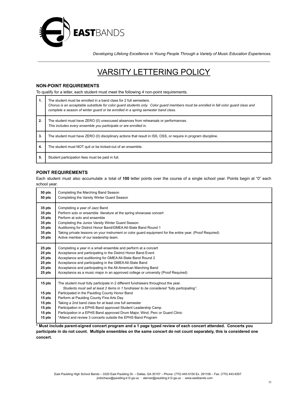

### VARSITY LETTERING POLICY

#### **NON-POINT REQUIREMENTS**

To qualify for a letter, each student must meet the following 4 non-point requirements.

| 1. | The student must be enrolled in a band class for 2 full semesters.<br>Chorus is an acceptable substitute for color quard students only. Color quard members must be enrolled in fall color quard class and<br>complete a season of winter quard or be enrolled in a spring semester band class. |  |  |
|----|-------------------------------------------------------------------------------------------------------------------------------------------------------------------------------------------------------------------------------------------------------------------------------------------------|--|--|
| 2. | The student must have ZERO (0) unexcused absences from rehearsals or performances.<br>This includes every ensemble you participate or are enrolled in.                                                                                                                                          |  |  |
| 3. | The student must have ZERO (0) disciplinary actions that result in ISS, OSS, or require in program discipline.                                                                                                                                                                                  |  |  |
| 4. | The student must NOT quit or be kicked-out of an ensemble.                                                                                                                                                                                                                                      |  |  |
| 5. | Student participation fees must be paid in full.                                                                                                                                                                                                                                                |  |  |

#### **POINT REQUIREMENTS**

Each student must also accumulate a total of **100** letter points over the course of a single school year. Points begin at "0" each school year.

| 50 pts                                                             | Completing the Marching Band Season                                                                                                                                                                                                                                                                                                                                                                                                                                                                                                                       |  |  |  |  |
|--------------------------------------------------------------------|-----------------------------------------------------------------------------------------------------------------------------------------------------------------------------------------------------------------------------------------------------------------------------------------------------------------------------------------------------------------------------------------------------------------------------------------------------------------------------------------------------------------------------------------------------------|--|--|--|--|
| 50 pts                                                             | Completing the Varsity Winter Guard Season                                                                                                                                                                                                                                                                                                                                                                                                                                                                                                                |  |  |  |  |
| 35 pts                                                             | Completing a year of Jazz Band                                                                                                                                                                                                                                                                                                                                                                                                                                                                                                                            |  |  |  |  |
| 35 pts                                                             | Perform solo or ensemble literature at the spring showcase concert                                                                                                                                                                                                                                                                                                                                                                                                                                                                                        |  |  |  |  |
| 35 pts                                                             | Perform at solo and ensemble                                                                                                                                                                                                                                                                                                                                                                                                                                                                                                                              |  |  |  |  |
| 35 pts                                                             | Completing the Junior Varsity Winter Guard Season                                                                                                                                                                                                                                                                                                                                                                                                                                                                                                         |  |  |  |  |
| 35 pts                                                             | Auditioning for District Honor Band/GMEA All-State Band Round 1                                                                                                                                                                                                                                                                                                                                                                                                                                                                                           |  |  |  |  |
| 35 pts                                                             | Taking private lessons on your instrument or color quard equipment for the entire year. (Proof Required)                                                                                                                                                                                                                                                                                                                                                                                                                                                  |  |  |  |  |
| 35 pts                                                             | Active member of our leadership team.                                                                                                                                                                                                                                                                                                                                                                                                                                                                                                                     |  |  |  |  |
| 25 pts                                                             | Completing a year in a small ensemble and perform at a concert                                                                                                                                                                                                                                                                                                                                                                                                                                                                                            |  |  |  |  |
| 25 pts                                                             | Acceptance and participating in the District Honor Band Event                                                                                                                                                                                                                                                                                                                                                                                                                                                                                             |  |  |  |  |
| 25 pts                                                             | Acceptance and auditioning for GMEA All-State Band Round 2                                                                                                                                                                                                                                                                                                                                                                                                                                                                                                |  |  |  |  |
| 25 pts                                                             | Acceptance and participating in the GMEA All-State Band                                                                                                                                                                                                                                                                                                                                                                                                                                                                                                   |  |  |  |  |
| 25 pts                                                             | Acceptance and participating in the All-American Marching Band                                                                                                                                                                                                                                                                                                                                                                                                                                                                                            |  |  |  |  |
| 25 pts                                                             | Acceptance as a music major in an approved college or university (Proof Required)                                                                                                                                                                                                                                                                                                                                                                                                                                                                         |  |  |  |  |
| 15 pts<br>15 pts<br>15 pts<br>15 pts<br>15 pts<br>15 pts<br>15 pts | The student must fully participate in 2 different fundraisers throughout the year.<br>Students must sell at least 2 items in 1 fundraiser to be considered "fully participating".<br>Participated in the Paulding County Honor Band<br>Perform at Paulding County Fine Arts Day<br>Taking a 2nd band class for at least one full semester<br>Participation in a EPHS Band approved Student Leadership Camp<br>Participation in a EPHS Band approved Drum Major, Wind, Perc or Guard Clinic<br>*Attend and review 3 concerts outside the EPHS Band Program |  |  |  |  |

\* Must include parent-signed concert program and a 1 page typed review of each concert attended. Concerts you participate in do not count. Multiple ensembles on the same concert do not count separately, this is considered one **concert.**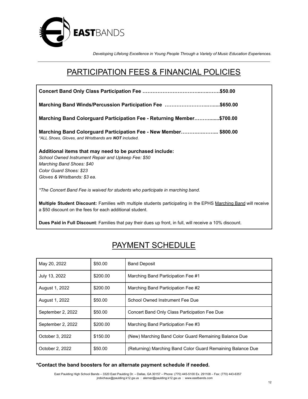

### PARTICIPATION FEES & FINANCIAL POLICIES

| Marching Band Winds/Percussion Participation Fee \$650.00                                                                                                                                              |  |  |  |  |  |
|--------------------------------------------------------------------------------------------------------------------------------------------------------------------------------------------------------|--|--|--|--|--|
| Marching Band Colorguard Participation Fee - Returning Member\$700.00                                                                                                                                  |  |  |  |  |  |
| Marching Band Colorguard Participation Fee - New Member\$800.00<br>*ALL Shoes, Gloves, and Wristbands are NOT included.                                                                                |  |  |  |  |  |
| Additional items that may need to be purchased include:<br>School Owned Instrument Repair and Upkeep Fee: \$50<br>Marching Band Shoes: \$40<br>Color Guard Shoes: \$23<br>Gloves & Wristbands: \$3 ea. |  |  |  |  |  |
| *The Concert Band Fee is waived for students who participate in marching band.                                                                                                                         |  |  |  |  |  |
| Multiple Student Discount: Families with multiple students participating in the EPHS Marching Band will receive<br>a \$50 discount on the fees for each additional student.                            |  |  |  |  |  |

**Dues Paid in Full Discount**: Families that pay their dues up front, in full, will receive a 10% discount.

### PAYMENT SCHEDULE

| May 20, 2022      | \$50.00  | <b>Band Deposit</b>                                         |
|-------------------|----------|-------------------------------------------------------------|
| July 13, 2022     | \$200.00 | Marching Band Participation Fee #1                          |
| August 1, 2022    | \$200.00 | Marching Band Participation Fee #2                          |
| August 1, 2022    | \$50.00  | School Owned Instrument Fee Due                             |
| September 2, 2022 | \$50.00  | Concert Band Only Class Participation Fee Due               |
| September 2, 2022 | \$200.00 | Marching Band Participation Fee #3                          |
| October 3, 2022   | \$150.00 | (New) Marching Band Color Guard Remaining Balance Due       |
| October 2, 2022   | \$50.00  | (Returning) Marching Band Color Guard Remaining Balance Due |

### **\*Contact the band boosters for an alternate payment schedule if needed.**

East Paulding High School Bands – 3320 East Paulding Dr. – Dallas, GA 30157 – Phone: (770) 445-5100 Ex. 291108 – Fax: (770) 443-6357 jrobichaux@paulding.k12.ga.us : alerner@paulding.k12.ga.us : [www.eastbands.com](http://www.eastbands.com)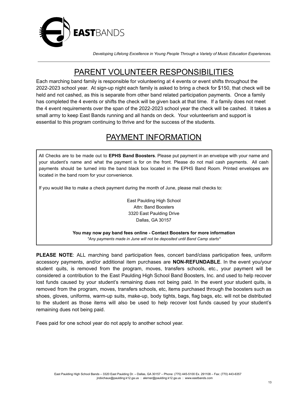

### PARENT VOLUNTEER RESPONSIBILITIES

Each marching band family is responsible for volunteering at 4 events or event shifts throughout the 2022-2023 school year. At sign-up night each family is asked to bring a check for \$150, that check will be held and not cashed, as this is separate from other band related participation payments. Once a family has completed the 4 events or shifts the check will be given back at that time. If a family does not meet the 4 event requirements over the span of the 2022-2023 school year the check will be cashed. It takes a small army to keep East Bands running and all hands on deck. Your volunteerism and support is essential to this program continuing to thrive and for the success of the students.

### PAYMENT INFORMATION

All Checks are to be made out to **EPHS Band Boosters**. Please put payment in an envelope with your name and your student's name and what the payment is for on the front. Please do not mail cash payments. All cash payments should be turned into the band black box located in the EPHS Band Room. Printed envelopes are located in the band room for your convenience.

If you would like to make a check payment during the month of June, please mail checks to:

East Paulding High School Attn: Band Boosters 3320 East Paulding Drive Dallas, GA 30157

**You may now pay band fees online - Contact Boosters for more information** *\*Any payments made in June will not be deposited until Band Camp starts\**

**PLEASE NOTE**: ALL marching band participation fees, concert band/class participation fees, uniform accessory payments, and/or additional item purchases are **NON-REFUNDABLE**. In the event you/your student quits, is removed from the program, moves, transfers schools, etc., your payment will be considered a contribution to the East Paulding High School Band Boosters, Inc. and used to help recover lost funds caused by your student's remaining dues not being paid. In the event your student quits, is removed from the program, moves, transfers schools, etc, items purchased through the boosters such as shoes, gloves, uniforms, warm-up suits, make-up, body tights, bags, flag bags, etc. will not be distributed to the student as those items will also be used to help recover lost funds caused by your student's remaining dues not being paid.

Fees paid for one school year do not apply to another school year.